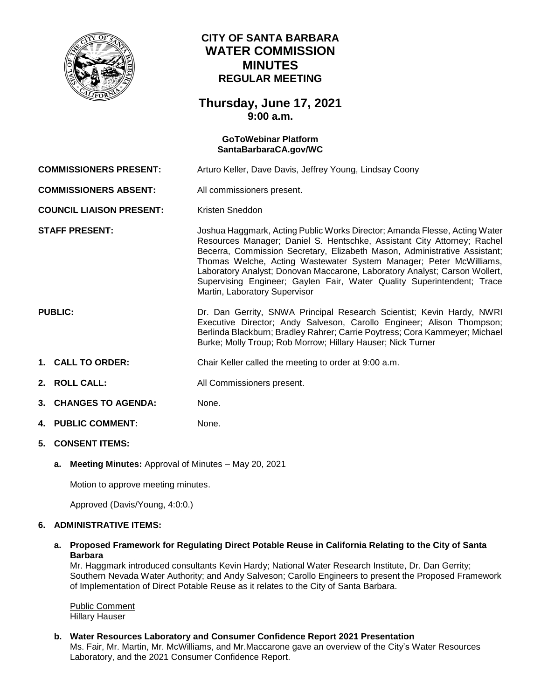

# **CITY OF SANTA BARBARA WATER COMMISSION MINUTES REGULAR MEETING**

## **Thursday, June 17, 2021 9:00 a.m.**

# **GoToWebinar Platform [SantaBarbaraCA.gov/WC](https://www.santabarbaraca.gov/gov/brdcomm/nz/water/agendas.asp) COMMISSIONERS PRESENT:** Arturo Keller, Dave Davis, Jeffrey Young, Lindsay Coony **COMMISSIONERS ABSENT:** All commissioners present. **COUNCIL LIAISON PRESENT:** Kristen Sneddon **STAFF PRESENT:** Joshua Haggmark, Acting Public Works Director; Amanda Flesse, Acting Water Resources Manager; Daniel S. Hentschke, Assistant City Attorney; Rachel Becerra, Commission Secretary, Elizabeth Mason, Administrative Assistant; Thomas Welche, Acting Wastewater System Manager; Peter McWilliams, Laboratory Analyst; Donovan Maccarone, Laboratory Analyst; Carson Wollert, Supervising Engineer; Gaylen Fair, Water Quality Superintendent; Trace Martin, Laboratory Supervisor **PUBLIC:** Dr. Dan Gerrity, SNWA Principal Research Scientist; Kevin Hardy, NWRI Executive Director; Andy Salveson, Carollo Engineer; Alison Thompson; Berlinda Blackburn; Bradley Rahrer; Carrie Poytress; Cora Kammeyer; Michael Burke; Molly Troup; Rob Morrow; Hillary Hauser; Nick Turner **1. CALL TO ORDER:** Chair Keller called the meeting to order at 9:00 a.m. **2. ROLL CALL:** All Commissioners present. **3. CHANGES TO AGENDA:** None. **4. PUBLIC COMMENT:** None.

## **5. CONSENT ITEMS:**

**a. Meeting Minutes:** Approval of Minutes – May 20, 2021

Motion to approve meeting minutes.

Approved (Davis/Young, 4:0:0.)

#### **6. ADMINISTRATIVE ITEMS:**

#### **a. Proposed Framework for Regulating Direct Potable Reuse in California Relating to the City of Santa Barbara**

Mr. Haggmark introduced consultants Kevin Hardy; National Water Research Institute, Dr. Dan Gerrity; Southern Nevada Water Authority; and Andy Salveson; Carollo Engineers to present the Proposed Framework of Implementation of Direct Potable Reuse as it relates to the City of Santa Barbara.

Public Comment Hillary Hauser

**b. Water Resources Laboratory and Consumer Confidence Report 2021 Presentation**

Ms. Fair, Mr. Martin, Mr. McWilliams, and Mr.Maccarone gave an overview of the City's Water Resources Laboratory, and the 2021 Consumer Confidence Report.